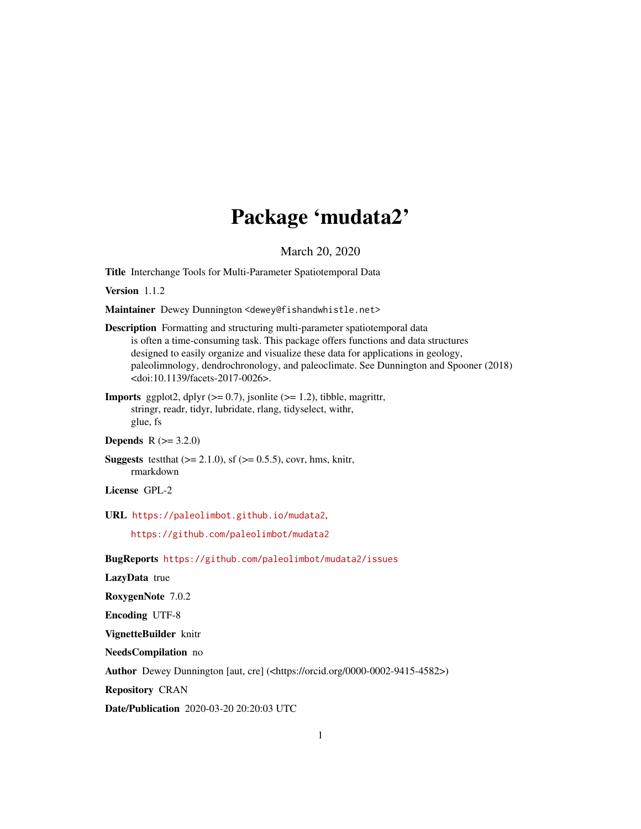# Package 'mudata2'

March 20, 2020

<span id="page-0-0"></span>Title Interchange Tools for Multi-Parameter Spatiotemporal Data

Version 1.1.2

Maintainer Dewey Dunnington <dewey@fishandwhistle.net>

- Description Formatting and structuring multi-parameter spatiotemporal data is often a time-consuming task. This package offers functions and data structures designed to easily organize and visualize these data for applications in geology, paleolimnology, dendrochronology, and paleoclimate. See Dunnington and Spooner (2018) <doi:10.1139/facets-2017-0026>.
- **Imports** ggplot2, dplyr  $(>= 0.7)$ , jsonlite  $(>= 1.2)$ , tibble, magrittr, stringr, readr, tidyr, lubridate, rlang, tidyselect, withr, glue, fs

#### **Depends**  $R (= 3.2.0)$

**Suggests** test that  $(>= 2.1.0)$ , sf  $(>= 0.5.5)$ , covr, hms, knitr, rmarkdown

License GPL-2

URL <https://paleolimbot.github.io/mudata2>,

<https://github.com/paleolimbot/mudata2>

BugReports <https://github.com/paleolimbot/mudata2/issues>

LazyData true

RoxygenNote 7.0.2

Encoding UTF-8

VignetteBuilder knitr

NeedsCompilation no

Author Dewey Dunnington [aut, cre] (<https://orcid.org/0000-0002-9415-4582>)

Repository CRAN

Date/Publication 2020-03-20 20:20:03 UTC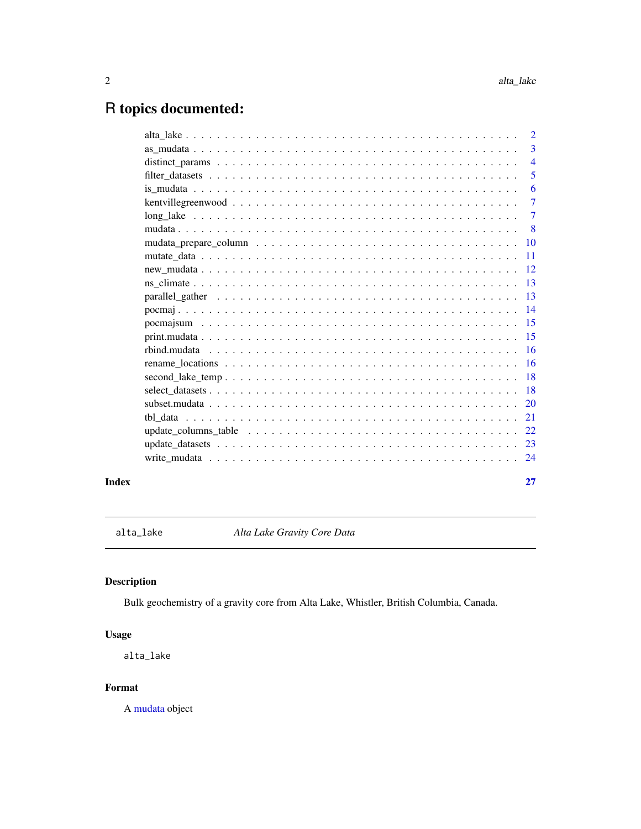## <span id="page-1-0"></span>R topics documented:

|                                                                                                                      | 27                        |
|----------------------------------------------------------------------------------------------------------------------|---------------------------|
|                                                                                                                      |                           |
|                                                                                                                      |                           |
| update_columns_table $\ldots \ldots \ldots \ldots \ldots \ldots \ldots \ldots \ldots \ldots \ldots \ldots \ldots 22$ |                           |
|                                                                                                                      |                           |
|                                                                                                                      |                           |
|                                                                                                                      |                           |
|                                                                                                                      |                           |
|                                                                                                                      |                           |
|                                                                                                                      |                           |
|                                                                                                                      |                           |
|                                                                                                                      |                           |
|                                                                                                                      |                           |
| parallel gather $\ldots \ldots \ldots \ldots \ldots \ldots \ldots \ldots \ldots \ldots \ldots \ldots \ldots$         |                           |
|                                                                                                                      |                           |
|                                                                                                                      |                           |
|                                                                                                                      |                           |
|                                                                                                                      |                           |
|                                                                                                                      | $\overline{\phantom{0}}8$ |
|                                                                                                                      | $\overline{7}$            |
|                                                                                                                      | $\overline{7}$            |
|                                                                                                                      | 6                         |
|                                                                                                                      | $\overline{5}$            |
|                                                                                                                      | $\overline{4}$            |
|                                                                                                                      | $\overline{3}$            |
|                                                                                                                      | $\overline{2}$            |

<span id="page-1-1"></span>alta\_lake *Alta Lake Gravity Core Data*

### Description

Bulk geochemistry of a gravity core from Alta Lake, Whistler, British Columbia, Canada.

### Usage

alta\_lake

#### Format

A [mudata](#page-7-1) object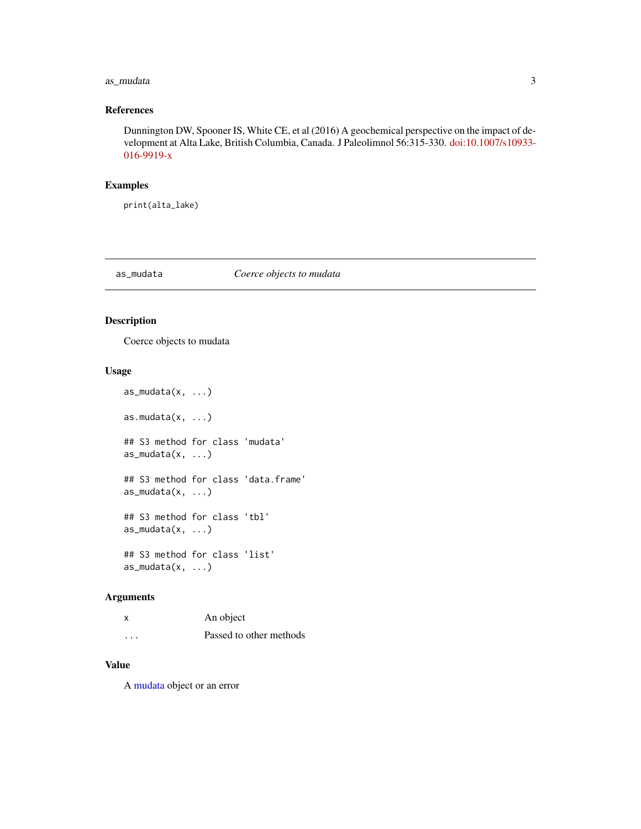#### <span id="page-2-0"></span>as\_mudata 3

#### References

Dunnington DW, Spooner IS, White CE, et al (2016) A geochemical perspective on the impact of development at Alta Lake, British Columbia, Canada. J Paleolimnol 56:315-330. [doi:10.1007/s10933-](https://doi.org/10.1007/s10933-016-9919-x) [016-9919-x](https://doi.org/10.1007/s10933-016-9919-x)

#### Examples

print(alta\_lake)

#### as\_mudata *Coerce objects to mudata*

#### Description

Coerce objects to mudata

#### Usage

```
as_mudata(x, ...)
as.mudata(x, ...)
## S3 method for class 'mudata'
as_mudata(x, ...)
## S3 method for class 'data.frame'
as_mudata(x, ...)
## S3 method for class 'tbl'
as_mudata(x, ...)
## S3 method for class 'list'
as_mudata(x, \ldots)
```
#### Arguments

| X | An object               |
|---|-------------------------|
| . | Passed to other methods |

#### Value

A [mudata](#page-7-1) object or an error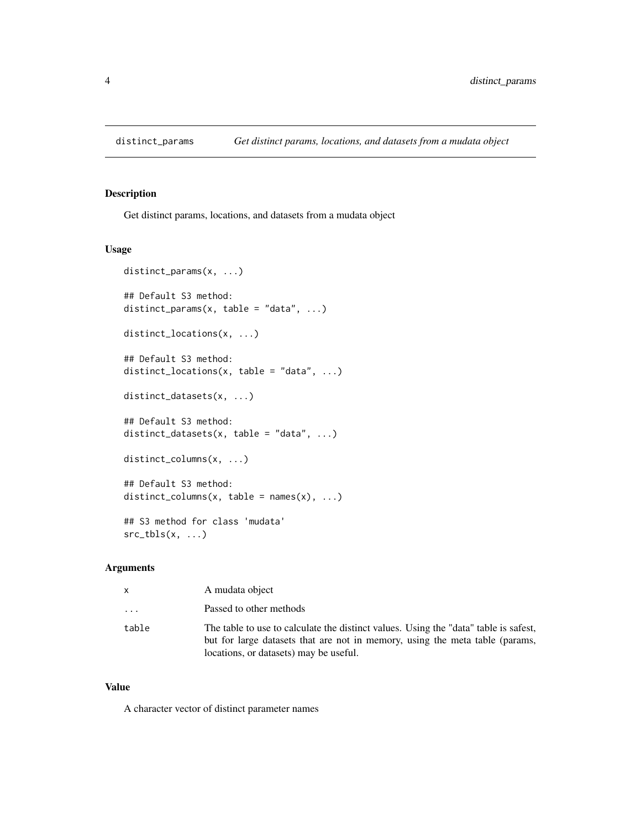<span id="page-3-1"></span><span id="page-3-0"></span>Get distinct params, locations, and datasets from a mudata object

#### Usage

```
distinct_params(x, ...)
## Default S3 method:
distinct_params(x, table = "data", \dots)
distinct_locations(x, ...)
## Default S3 method:
distinct_locations(x, table = "data", \dots)
distinct_datasets(x, ...)
## Default S3 method:
distinct_datasets(x, table = "data", \dots)
distinct_columns(x, ...)
## Default S3 method:
distinct_columns(x, table = names(x), ...)
## S3 method for class 'mudata'
src\_tbls(x, ...)
```
#### Arguments

| x     | A mudata object                                                                                                                                                                                                |
|-------|----------------------------------------------------------------------------------------------------------------------------------------------------------------------------------------------------------------|
| .     | Passed to other methods                                                                                                                                                                                        |
| table | The table to use to calculate the distinct values. Using the "data" table is safest,<br>but for large datasets that are not in memory, using the meta table (params,<br>locations, or datasets) may be useful. |

#### Value

A character vector of distinct parameter names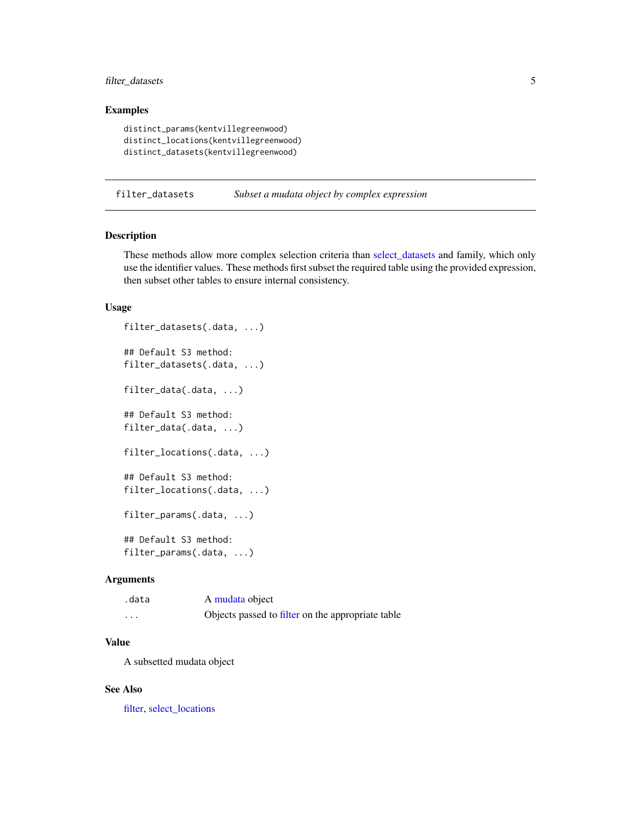#### <span id="page-4-0"></span>filter\_datasets 5

#### Examples

```
distinct_params(kentvillegreenwood)
distinct_locations(kentvillegreenwood)
distinct_datasets(kentvillegreenwood)
```
<span id="page-4-2"></span>filter\_datasets *Subset a mudata object by complex expression*

#### <span id="page-4-1"></span>Description

These methods allow more complex selection criteria than [select\\_datasets](#page-17-1) and family, which only use the identifier values. These methods first subset the required table using the provided expression, then subset other tables to ensure internal consistency.

#### Usage

```
filter_datasets(.data, ...)
## Default S3 method:
filter_datasets(.data, ...)
filter_data(.data, ...)
## Default S3 method:
filter_data(.data, ...)
filter_locations(.data, ...)
## Default S3 method:
filter_locations(.data, ...)
filter_params(.data, ...)
## Default S3 method:
filter_params(.data, ...)
```
#### Arguments

| .data | A mudata object                                   |
|-------|---------------------------------------------------|
| .     | Objects passed to filter on the appropriate table |

#### Value

A subsetted mudata object

#### See Also

[filter,](#page-0-0) [select\\_locations](#page-17-2)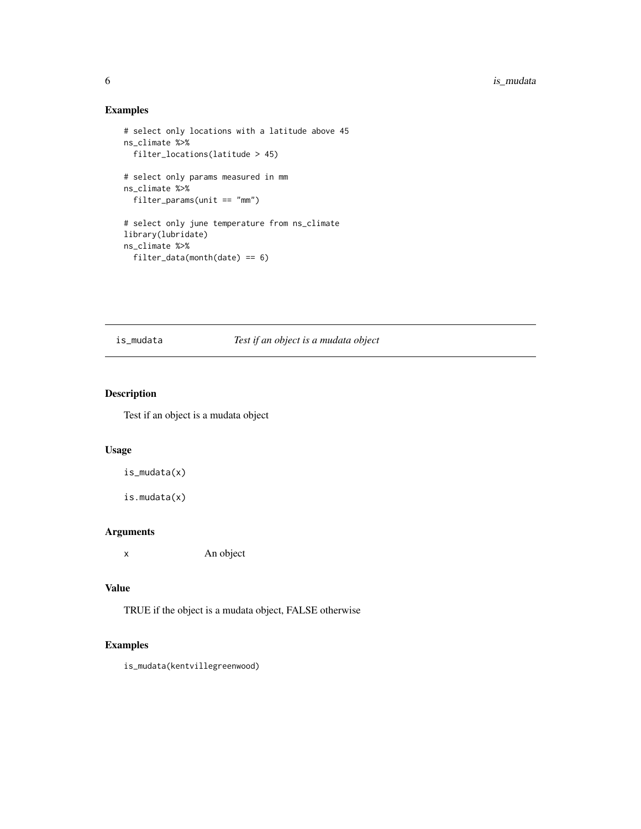<span id="page-5-0"></span>6 is\_mudata

#### Examples

```
# select only locations with a latitude above 45
ns_climate %>%
  filter_locations(latitude > 45)
# select only params measured in mm
ns_climate %>%
  filter_params(unit == "mm")
# select only june temperature from ns_climate
library(lubridate)
ns_climate %>%
  filter_data(month(date) == 6)
```
#### is\_mudata *Test if an object is a mudata object*

#### Description

Test if an object is a mudata object

#### Usage

```
is_mudata(x)
```
is.mudata(x)

#### Arguments

x An object

#### Value

TRUE if the object is a mudata object, FALSE otherwise

### Examples

is\_mudata(kentvillegreenwood)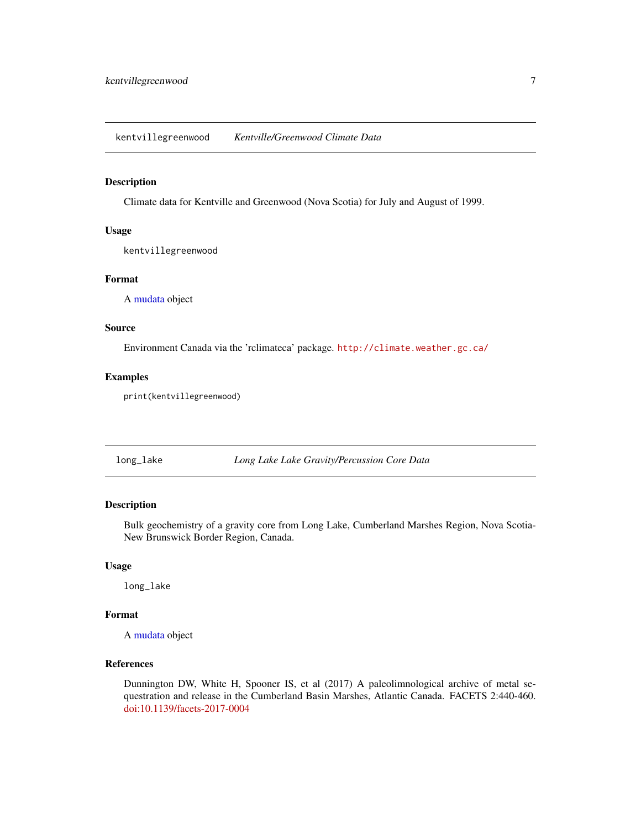<span id="page-6-1"></span><span id="page-6-0"></span>kentvillegreenwood *Kentville/Greenwood Climate Data*

#### Description

Climate data for Kentville and Greenwood (Nova Scotia) for July and August of 1999.

#### Usage

kentvillegreenwood

#### Format

A [mudata](#page-7-1) object

#### Source

Environment Canada via the 'rclimateca' package. <http://climate.weather.gc.ca/>

#### Examples

print(kentvillegreenwood)

<span id="page-6-2"></span>long\_lake *Long Lake Lake Gravity/Percussion Core Data*

#### Description

Bulk geochemistry of a gravity core from Long Lake, Cumberland Marshes Region, Nova Scotia-New Brunswick Border Region, Canada.

#### Usage

long\_lake

#### Format

A [mudata](#page-7-1) object

#### References

Dunnington DW, White H, Spooner IS, et al (2017) A paleolimnological archive of metal sequestration and release in the Cumberland Basin Marshes, Atlantic Canada. FACETS 2:440-460. [doi:10.1139/facets-2017-0004](https://doi.org/10.1139/facets-2017-0004)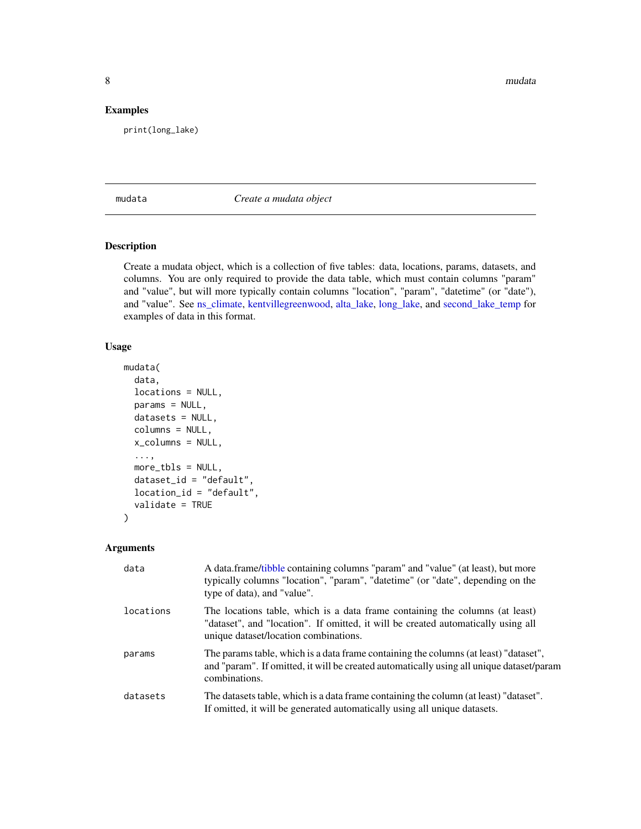<span id="page-7-0"></span>8 mudata and the contract of the contract of the contract of the contract of the contract of the contract of the contract of the contract of the contract of the contract of the contract of the contract of the contract of t

#### Examples

print(long\_lake)

<span id="page-7-1"></span>mudata *Create a mudata object*

#### Description

Create a mudata object, which is a collection of five tables: data, locations, params, datasets, and columns. You are only required to provide the data table, which must contain columns "param" and "value", but will more typically contain columns "location", "param", "datetime" (or "date"), and "value". See [ns\\_climate,](#page-12-1) [kentvillegreenwood,](#page-6-1) [alta\\_lake,](#page-1-1) [long\\_lake,](#page-6-2) and [second\\_lake\\_temp](#page-17-3) for examples of data in this format.

#### Usage

```
mudata(
  data,
  locations = NULL,
  params = NULL,
  datasets = NULL,
  columns = NULL,
  x_columns = NULL,
  ...,
 more_tbls = NULL,
  dataset_id = "default",
  location_id = "default",
  validate = TRUE
\mathcal{L}
```
#### Arguments

| data      | A data.frame/tibble containing columns "param" and "value" (at least), but more<br>typically columns "location", "param", "datetime" (or "date", depending on the<br>type of data), and "value".           |
|-----------|------------------------------------------------------------------------------------------------------------------------------------------------------------------------------------------------------------|
| locations | The locations table, which is a data frame containing the columns (at least)<br>"dataset", and "location". If omitted, it will be created automatically using all<br>unique dataset/location combinations. |
| params    | The params table, which is a data frame containing the columns (at least) "dataset",<br>and "param". If omitted, it will be created automatically using all unique dataset/param<br>combinations.          |
| datasets  | The datasets table, which is a data frame containing the column (at least) "dataset".<br>If omitted, it will be generated automatically using all unique datasets.                                         |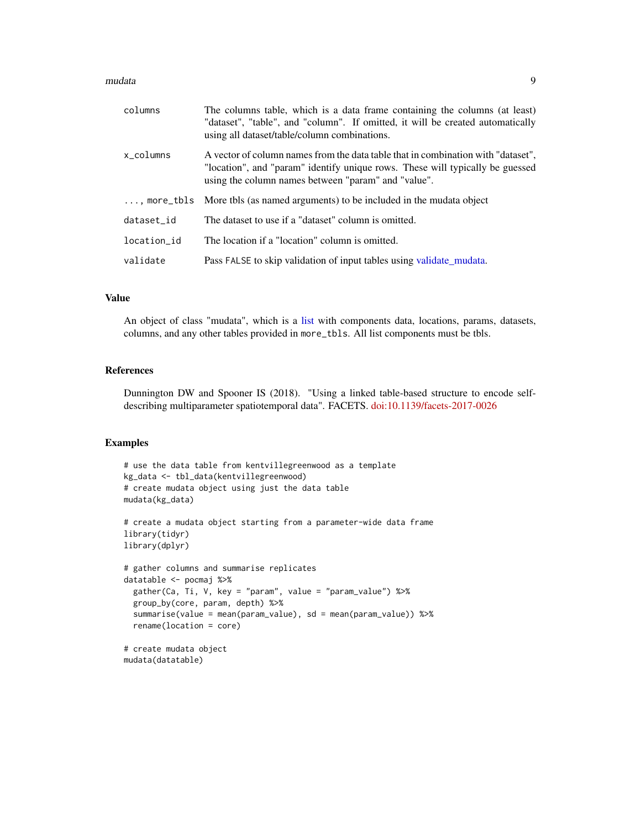#### <span id="page-8-0"></span>mudata 9

| columns     | The columns table, which is a data frame containing the columns (at least)<br>"dataset", "table", and "column". If omitted, it will be created automatically<br>using all dataset/table/column combinations.             |
|-------------|--------------------------------------------------------------------------------------------------------------------------------------------------------------------------------------------------------------------------|
| x columns   | A vector of column names from the data table that in combination with "dataset",<br>"location", and "param" identify unique rows. These will typically be guessed<br>using the column names between "param" and "value". |
|             | , more_tbls More tbls (as named arguments) to be included in the mudata object                                                                                                                                           |
| dataset id  | The dataset to use if a "dataset" column is omitted.                                                                                                                                                                     |
| location id | The location if a "location" column is omitted.                                                                                                                                                                          |
| validate    | Pass FALSE to skip validation of input tables using validate mudata.                                                                                                                                                     |

#### Value

An object of class "mudata", which is a [list](#page-0-0) with components data, locations, params, datasets, columns, and any other tables provided in more\_tbls. All list components must be tbls.

#### References

Dunnington DW and Spooner IS (2018). "Using a linked table-based structure to encode selfdescribing multiparameter spatiotemporal data". FACETS. [doi:10.1139/facets-2017-0026](https://doi.org/10.1139/facets-2017-0026)

```
# use the data table from kentvillegreenwood as a template
kg_data <- tbl_data(kentvillegreenwood)
# create mudata object using just the data table
mudata(kg_data)
# create a mudata object starting from a parameter-wide data frame
library(tidyr)
library(dplyr)
# gather columns and summarise replicates
datatable <- pocmaj %>%
  gather(Ca, Ti, V, key = "param", value = "param_value") %>%
  group_by(core, param, depth) %>%
  summarise(value = mean(param_value), sd = mean(param_value)) %>%
  rename(location = core)
# create mudata object
mudata(datatable)
```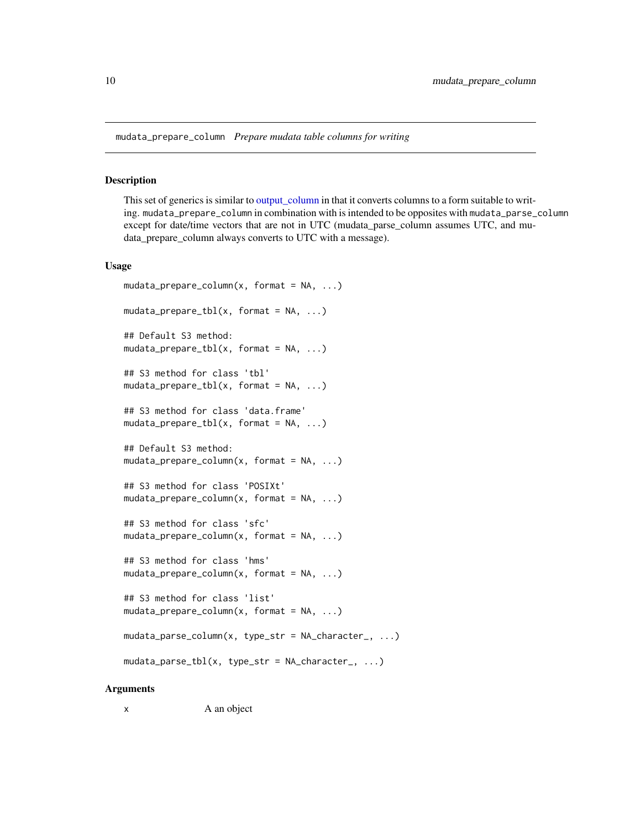<span id="page-9-0"></span>mudata\_prepare\_column *Prepare mudata table columns for writing*

#### **Description**

This set of generics is similar to [output\\_column](#page-0-0) in that it converts columns to a form suitable to writing. mudata\_prepare\_column in combination with is intended to be opposites with mudata\_parse\_column except for date/time vectors that are not in UTC (mudata\_parse\_column assumes UTC, and mudata\_prepare\_column always converts to UTC with a message).

#### Usage

```
mudata\_prepare\_column(x, format = NA, ...)mudata\_prepare\_tbl(x, format = NA, ...)## Default S3 method:
mudata\_prepare\_tbl(x, format = NA, ...)## S3 method for class 'tbl'
mudata\_prepare\_tbl(x, format = NA, ...)## S3 method for class 'data.frame'
mudata\_prepare\_tbl(x, format = NA, ...)## Default S3 method:
mudata\_prepare\_column(x, format = NA, ...)## S3 method for class 'POSIXt'
mudata\_prepare\_column(x, format = NA, ...)## S3 method for class 'sfc'
mudata\_prepare\_column(x, format = NA, ...)## S3 method for class 'hms'
mudata\_prepare\_column(x, format = NA, ...)## S3 method for class 'list'
mudata\_prepare\_column(x, format = NA, ...)mudata_parse_column(x, type_str = NA_character_, ...)
mudata\_parse\_tbl(x, type\_str = NA\_character_1, ...)
```
#### Arguments

x A an object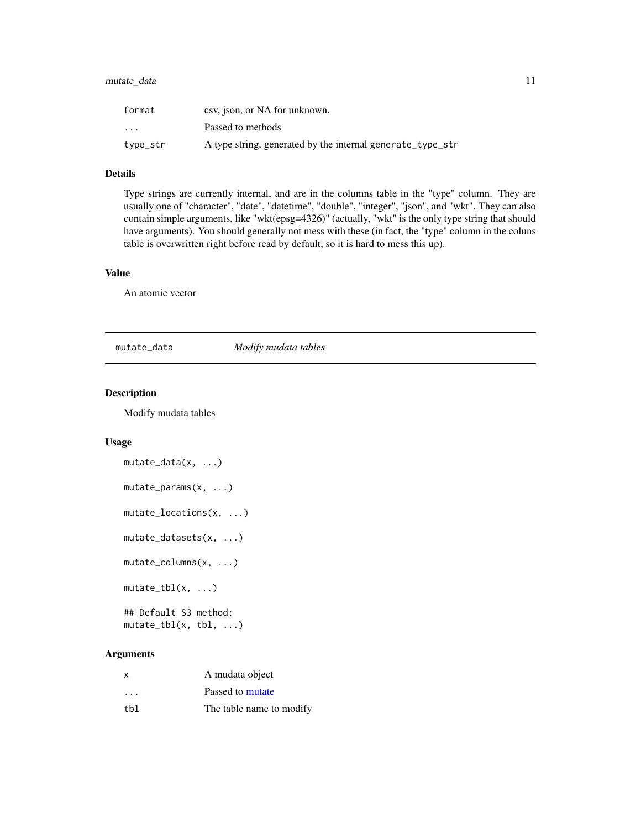#### <span id="page-10-0"></span>mutate\_data 11

| format                  | csv, json, or NA for unknown,                              |
|-------------------------|------------------------------------------------------------|
| $\cdot$ $\cdot$ $\cdot$ | Passed to methods                                          |
| type_str                | A type string, generated by the internal generate_type_str |

#### Details

Type strings are currently internal, and are in the columns table in the "type" column. They are usually one of "character", "date", "datetime", "double", "integer", "json", and "wkt". They can also contain simple arguments, like "wkt(epsg=4326)" (actually, "wkt" is the only type string that should have arguments). You should generally not mess with these (in fact, the "type" column in the coluns table is overwritten right before read by default, so it is hard to mess this up).

#### Value

An atomic vector

mutate\_data *Modify mudata tables*

#### Description

Modify mudata tables

#### Usage

```
mutate_data(x, ...)
mutate_params(x, ...)
mutate_locations(x, ...)
mutate_datasets(x, ...)
mutate_columns(x, ...)
mutate_tbl(x, ...)## Default S3 method:
```
mutate\_tbl(x, tbl, ...)

#### Arguments

| x                       | A mudata object          |
|-------------------------|--------------------------|
| $\cdot$ $\cdot$ $\cdot$ | Passed to mutate         |
| tbl                     | The table name to modify |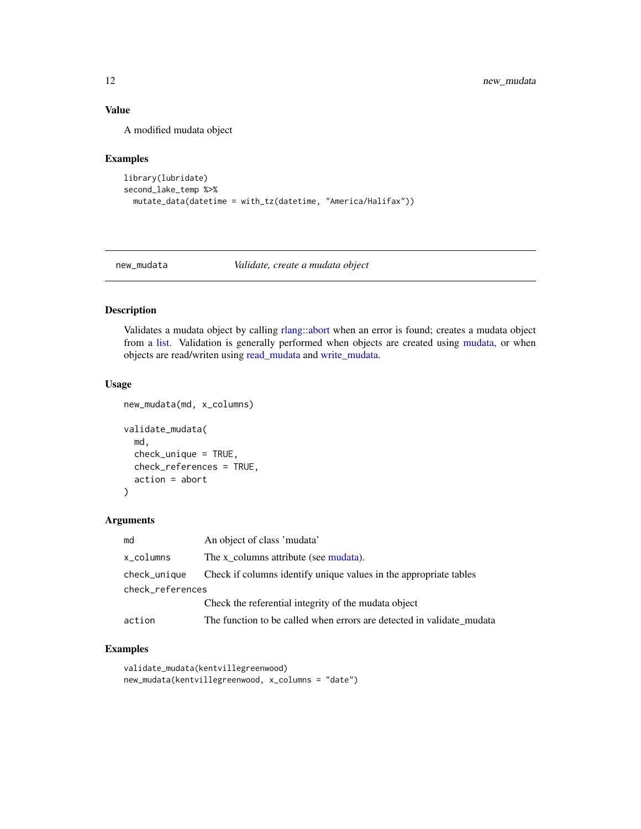#### <span id="page-11-0"></span>Value

A modified mudata object

#### Examples

```
library(lubridate)
second_lake_temp %>%
  mutate_data(datetime = with_tz(datetime, "America/Halifax"))
```
new\_mudata *Validate, create a mudata object*

### <span id="page-11-1"></span>Description

Validates a mudata object by calling [rlang::abort](#page-0-0) when an error is found; creates a mudata object from a [list.](#page-0-0) Validation is generally performed when objects are created using [mudata,](#page-7-1) or when objects are read/writen using [read\\_mudata](#page-23-1) and [write\\_mudata.](#page-23-2)

#### Usage

```
new_mudata(md, x_columns)
validate_mudata(
  md,
  check_unique = TRUE,
  check_references = TRUE,
  action = abort
)
```
#### Arguments

| md               | An object of class 'mudata'                                           |
|------------------|-----------------------------------------------------------------------|
| x_columns        | The x columns attribute (see mudata).                                 |
| check_unique     | Check if columns identify unique values in the appropriate tables     |
| check_references |                                                                       |
|                  | Check the referential integrity of the mudata object                  |
| action           | The function to be called when errors are detected in validate_mudata |

```
validate_mudata(kentvillegreenwood)
new_mudata(kentvillegreenwood, x_columns = "date")
```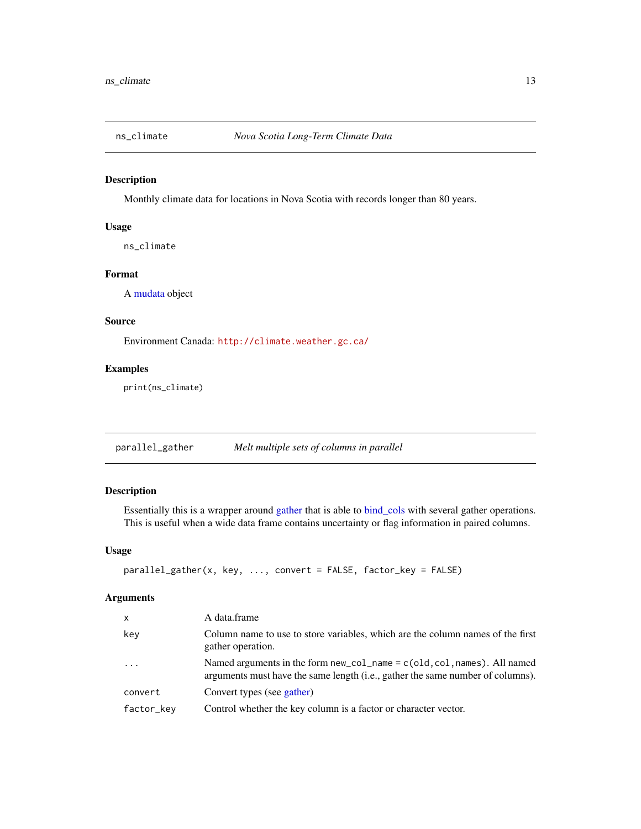<span id="page-12-1"></span><span id="page-12-0"></span>

Monthly climate data for locations in Nova Scotia with records longer than 80 years.

#### Usage

ns\_climate

#### Format

A [mudata](#page-7-1) object

#### Source

Environment Canada: <http://climate.weather.gc.ca/>

#### Examples

print(ns\_climate)

parallel\_gather *Melt multiple sets of columns in parallel*

#### Description

Essentially this is a wrapper around [gather](#page-0-0) that is able to [bind\\_cols](#page-0-0) with several gather operations. This is useful when a wide data frame contains uncertainty or flag information in paired columns.

#### Usage

```
parallel_gather(x, key, ..., convert = FALSE, factor_key = FALSE)
```
#### Arguments

| $\mathsf{x}$ | A data.frame                                                                                                                                                     |
|--------------|------------------------------------------------------------------------------------------------------------------------------------------------------------------|
| key          | Column name to use to store variables, which are the column names of the first<br>gather operation.                                                              |
| $\ddots$ .   | Named arguments in the form $new_{col\_name} = c(old, col, names)$ . All named<br>arguments must have the same length (i.e., gather the same number of columns). |
| convert      | Convert types (see gather)                                                                                                                                       |
| factor_key   | Control whether the key column is a factor or character vector.                                                                                                  |
|              |                                                                                                                                                                  |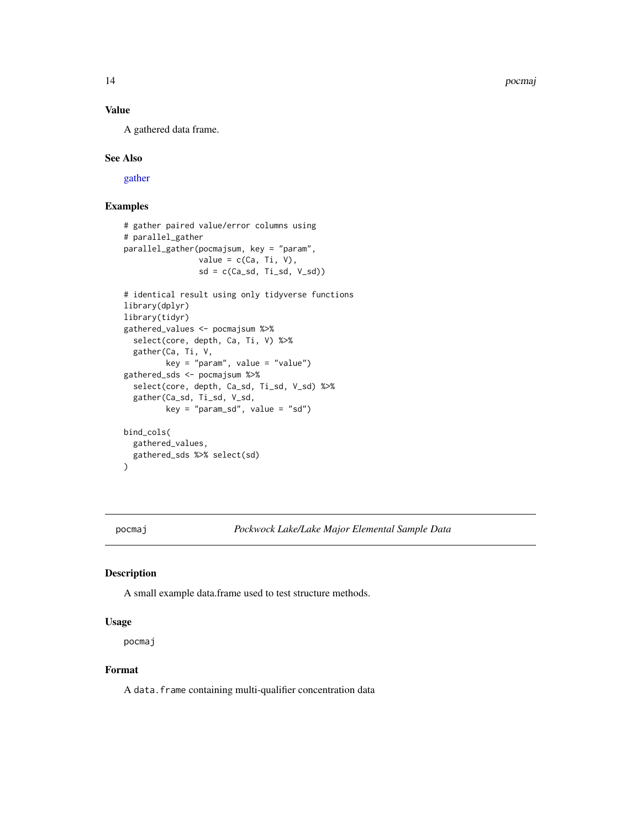14 poemaj

#### Value

A gathered data frame.

#### See Also

[gather](#page-0-0)

#### Examples

```
# gather paired value/error columns using
# parallel_gather
parallel_gather(pocmajsum, key = "param",
                value = c(Ca, Ti, V),
                sd = c(Ca_sdd, Ti_sdd, V_sdd)# identical result using only tidyverse functions
library(dplyr)
library(tidyr)
gathered_values <- pocmajsum %>%
  select(core, depth, Ca, Ti, V) %>%
  gather(Ca, Ti, V,
         key = "param", value = "value")
gathered_sds <- pocmajsum %>%
  select(core, depth, Ca_sd, Ti_sd, V_sd) %>%
  gather(Ca_sd, Ti_sd, V_sd,
         key = "param_sd", value = "sd")
bind_cols(
  gathered_values,
  gathered_sds %>% select(sd)
\mathcal{L}
```
<span id="page-13-1"></span>pocmaj *Pockwock Lake/Lake Major Elemental Sample Data*

#### Description

A small example data.frame used to test structure methods.

#### Usage

pocmaj

#### Format

A data. frame containing multi-qualifier concentration data

<span id="page-13-0"></span>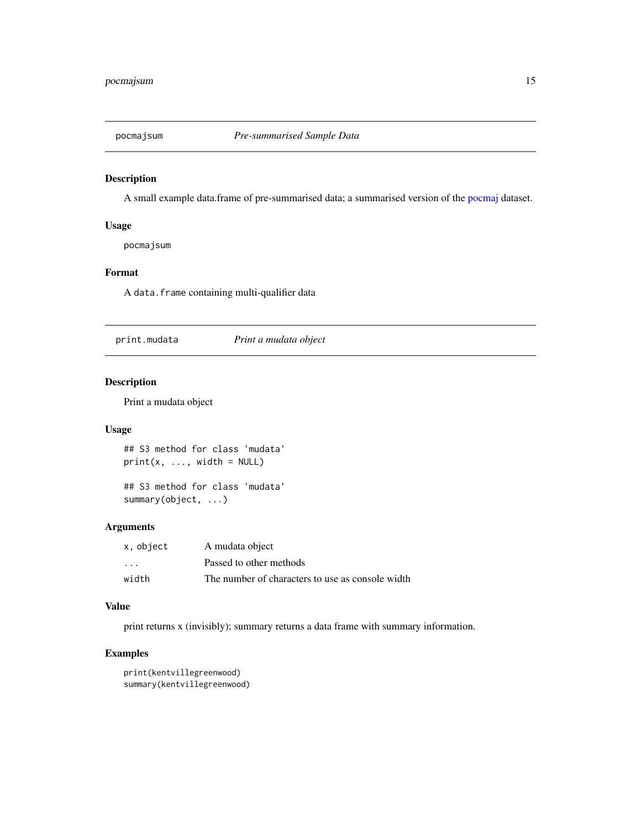<span id="page-14-0"></span>

A small example data.frame of pre-summarised data; a summarised version of the [pocmaj](#page-13-1) dataset.

#### Usage

pocmajsum

#### Format

A data.frame containing multi-qualifier data

print.mudata *Print a mudata object*

#### Description

Print a mudata object

#### Usage

## S3 method for class 'mudata'  $print(x, ..., width = NULL)$ 

## S3 method for class 'mudata' summary(object, ...)

#### Arguments

| x, object               | A mudata object                                  |
|-------------------------|--------------------------------------------------|
| $\cdot$ $\cdot$ $\cdot$ | Passed to other methods                          |
| width                   | The number of characters to use as console width |

#### Value

print returns x (invisibly); summary returns a data frame with summary information.

```
print(kentvillegreenwood)
summary(kentvillegreenwood)
```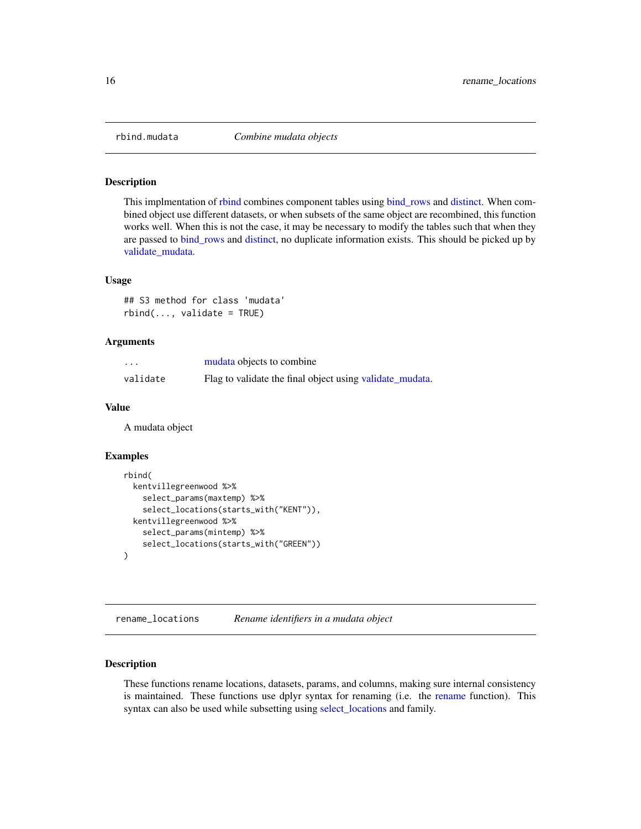<span id="page-15-0"></span>

This implmentation of [rbind](#page-0-0) combines component tables using [bind\\_rows](#page-0-0) and [distinct.](#page-0-0) When combined object use different datasets, or when subsets of the same object are recombined, this function works well. When this is not the case, it may be necessary to modify the tables such that when they are passed to [bind\\_rows](#page-0-0) and [distinct,](#page-0-0) no duplicate information exists. This should be picked up by [validate\\_mudata.](#page-11-1)

#### Usage

## S3 method for class 'mudata'  $rbind(..., validate = TRUE)$ 

#### Arguments

| .        | mudata objects to combine                                |
|----------|----------------------------------------------------------|
| validate | Flag to validate the final object using validate mudata. |

#### Value

A mudata object

#### Examples

```
rbind(
 kentvillegreenwood %>%
    select_params(maxtemp) %>%
    select_locations(starts_with("KENT")),
 kentvillegreenwood %>%
   select_params(mintemp) %>%
    select_locations(starts_with("GREEN"))
)
```
<span id="page-15-1"></span>rename\_locations *Rename identifiers in a mudata object*

#### Description

These functions rename locations, datasets, params, and columns, making sure internal consistency is maintained. These functions use dplyr syntax for renaming (i.e. the [rename](#page-0-0) function). This syntax can also be used while subsetting using [select\\_locations](#page-17-2) and family.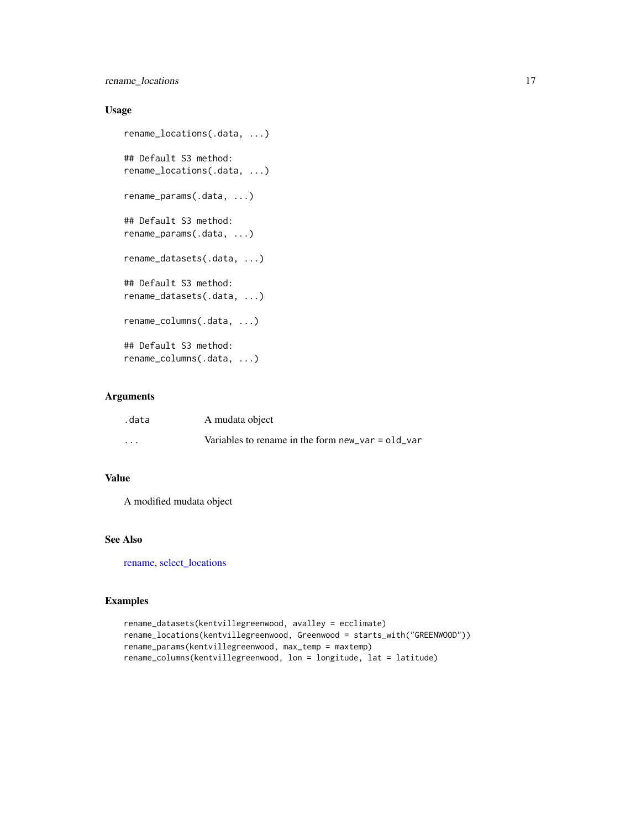<span id="page-16-0"></span>rename\_locations 17

#### Usage

```
rename_locations(.data, ...)
## Default S3 method:
rename_locations(.data, ...)
rename_params(.data, ...)
## Default S3 method:
rename_params(.data, ...)
rename_datasets(.data, ...)
## Default S3 method:
rename_datasets(.data, ...)
rename_columns(.data, ...)
## Default S3 method:
rename_columns(.data, ...)
```
#### Arguments

| .data   | A mudata object                                     |
|---------|-----------------------------------------------------|
| $\cdot$ | Variables to rename in the form new $var = old$ var |

#### Value

A modified mudata object

#### See Also

[rename,](#page-0-0) [select\\_locations](#page-17-2)

```
rename_datasets(kentvillegreenwood, avalley = ecclimate)
rename_locations(kentvillegreenwood, Greenwood = starts_with("GREENWOOD"))
rename_params(kentvillegreenwood, max_temp = maxtemp)
rename_columns(kentvillegreenwood, lon = longitude, lat = latitude)
```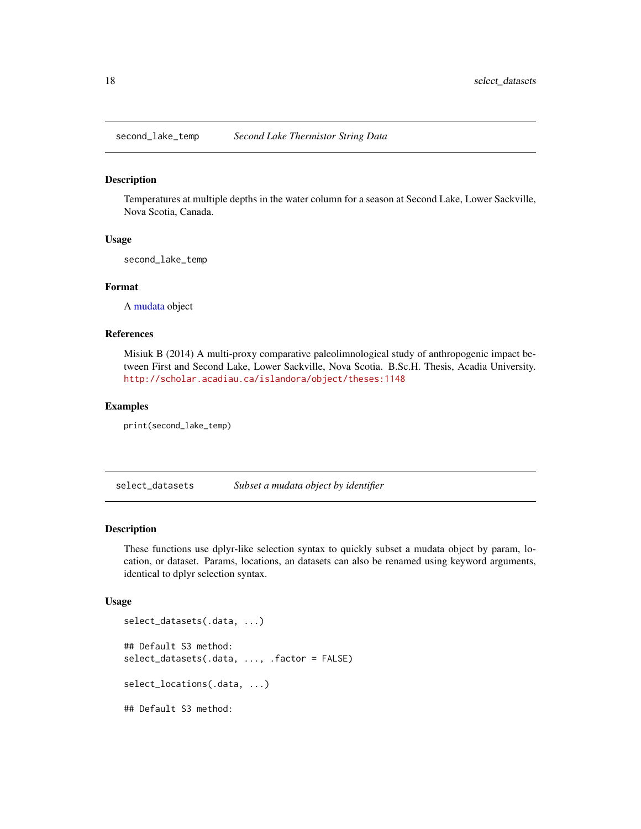<span id="page-17-3"></span><span id="page-17-0"></span>second\_lake\_temp *Second Lake Thermistor String Data*

#### Description

Temperatures at multiple depths in the water column for a season at Second Lake, Lower Sackville, Nova Scotia, Canada.

#### Usage

second\_lake\_temp

#### Format

A [mudata](#page-7-1) object

#### References

Misiuk B (2014) A multi-proxy comparative paleolimnological study of anthropogenic impact between First and Second Lake, Lower Sackville, Nova Scotia. B.Sc.H. Thesis, Acadia University. <http://scholar.acadiau.ca/islandora/object/theses:1148>

#### Examples

print(second\_lake\_temp)

<span id="page-17-1"></span>select\_datasets *Subset a mudata object by identifier*

#### <span id="page-17-2"></span>**Description**

These functions use dplyr-like selection syntax to quickly subset a mudata object by param, location, or dataset. Params, locations, an datasets can also be renamed using keyword arguments, identical to dplyr selection syntax.

#### Usage

```
select_datasets(.data, ...)
## Default S3 method:
select_datasets(.data, ..., .factor = FALSE)
select_locations(.data, ...)
## Default S3 method:
```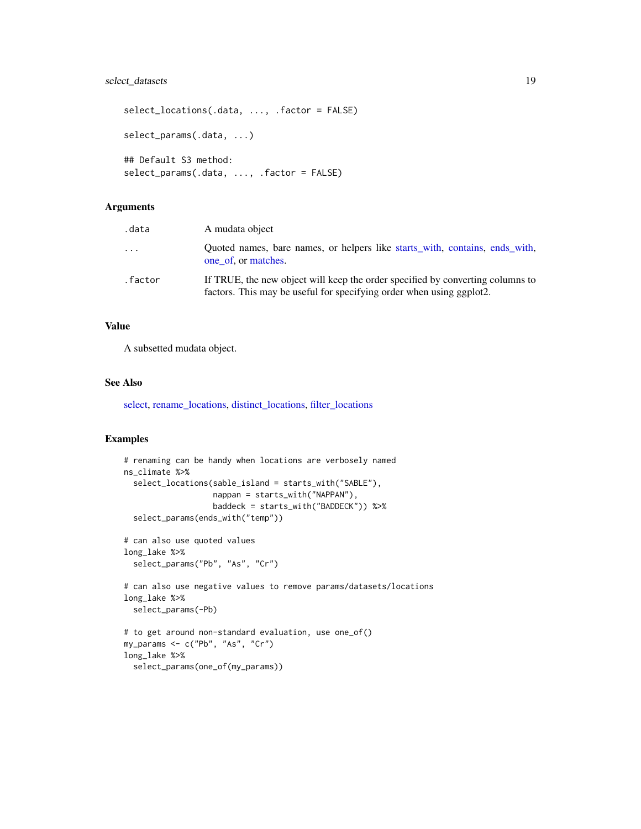#### <span id="page-18-0"></span>select\_datasets 19

```
select_locations(.data, ..., .factor = FALSE)
select_params(.data, ...)
## Default S3 method:
select_params(.data, ..., .factor = FALSE)
```
#### Arguments

| .data   | A mudata object                                                                                                                                        |
|---------|--------------------------------------------------------------------------------------------------------------------------------------------------------|
| .       | Quoted names, bare names, or helpers like starts_with, contains, ends_with,<br>one of or matches.                                                      |
| .factor | If TRUE, the new object will keep the order specified by converting columns to<br>factors. This may be useful for specifying order when using ggplot2. |

#### Value

A subsetted mudata object.

#### See Also

[select,](#page-0-0) [rename\\_locations,](#page-15-1) [distinct\\_locations,](#page-3-1) [filter\\_locations](#page-4-1)

```
# renaming can be handy when locations are verbosely named
ns_climate %>%
  select_locations(sable_island = starts_with("SABLE"),
                  nappan = starts_with("NAPPAN"),
                  baddeck = starts_with("BADDECK")) %>%
  select_params(ends_with("temp"))
# can also use quoted values
long_lake %>%
  select_params("Pb", "As", "Cr")
# can also use negative values to remove params/datasets/locations
long_lake %>%
  select_params(-Pb)
# to get around non-standard evaluation, use one_of()
my_params <- c("Pb", "As", "Cr")
long_lake %>%
  select_params(one_of(my_params))
```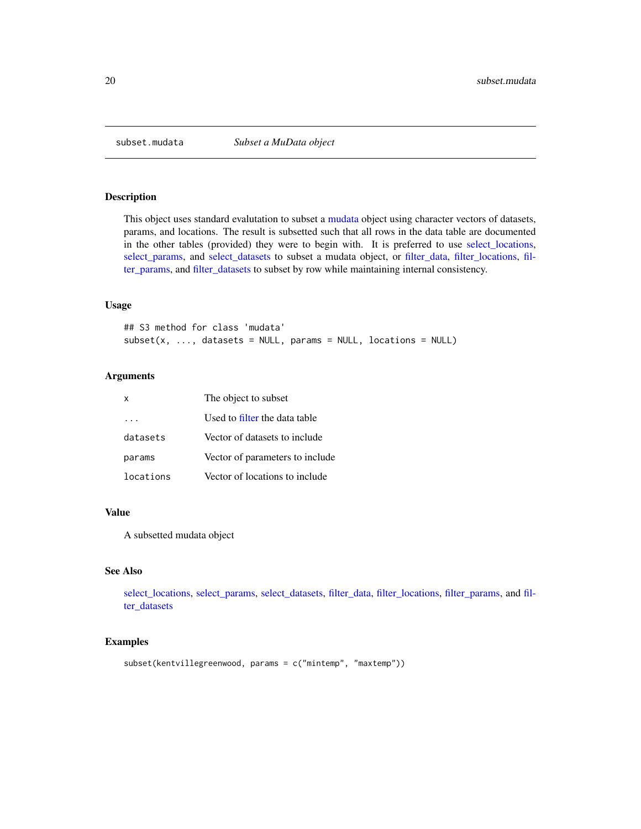<span id="page-19-0"></span>

This object uses standard evalutation to subset a [mudata](#page-7-1) object using character vectors of datasets, params, and locations. The result is subsetted such that all rows in the data table are documented in the other tables (provided) they were to begin with. It is preferred to use [select\\_locations,](#page-17-2) [select\\_params,](#page-17-2) and [select\\_datasets](#page-17-1) to subset a mudata object, or [filter\\_data,](#page-4-1) [filter\\_locations,](#page-4-1) [fil](#page-4-1)[ter\\_params,](#page-4-1) and [filter\\_datasets](#page-4-2) to subset by row while maintaining internal consistency.

#### Usage

## S3 method for class 'mudata'  $subset(x, ..., datasets = NULL, parameters = NULL, locations = NULL)$ 

#### Arguments

| x         | The object to subset            |
|-----------|---------------------------------|
|           | Used to filter the data table   |
| datasets  | Vector of datasets to include   |
| params    | Vector of parameters to include |
| locations | Vector of locations to include  |

#### Value

A subsetted mudata object

#### See Also

[select\\_locations,](#page-17-2) [select\\_params,](#page-17-2) [select\\_datasets,](#page-17-1) [filter\\_data,](#page-4-1) [filter\\_locations,](#page-4-1) [filter\\_params,](#page-4-1) and [fil](#page-4-2)[ter\\_datasets](#page-4-2)

```
subset(kentvillegreenwood, params = c("mintemp", "maxtemp"))
```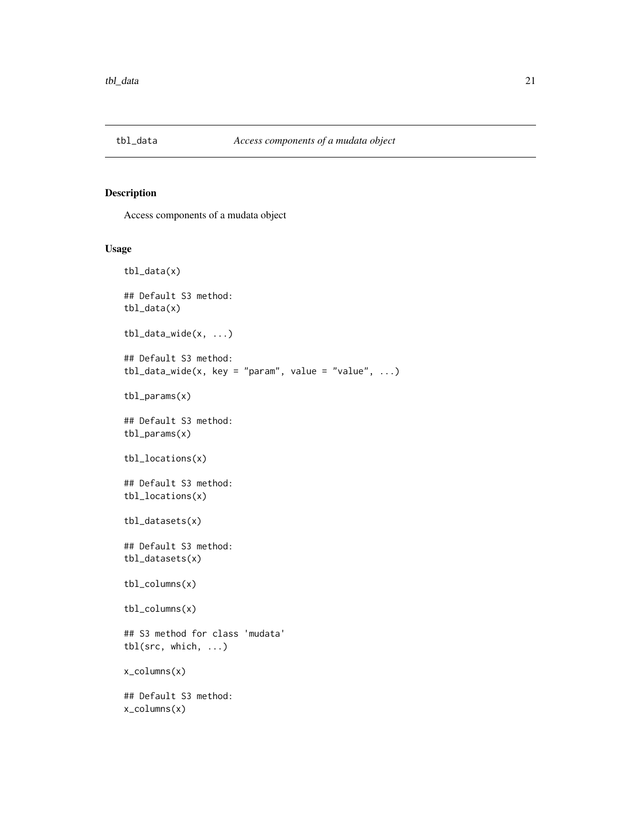<span id="page-20-0"></span>

Access components of a mudata object

#### Usage

```
tbl_data(x)
## Default S3 method:
tbl_data(x)
tbl_data_wide(x, ...)
## Default S3 method:
tbl_data_wide(x, key = "param", value = "value", ...)tbl_params(x)
## Default S3 method:
tbl_params(x)
tbl_locations(x)
## Default S3 method:
tbl_locations(x)
tbl_datasets(x)
## Default S3 method:
tbl_datasets(x)
tbl_columns(x)
tbl_columns(x)
## S3 method for class 'mudata'
tbl(src, which, ...)
x_columns(x)
## Default S3 method:
x_columns(x)
```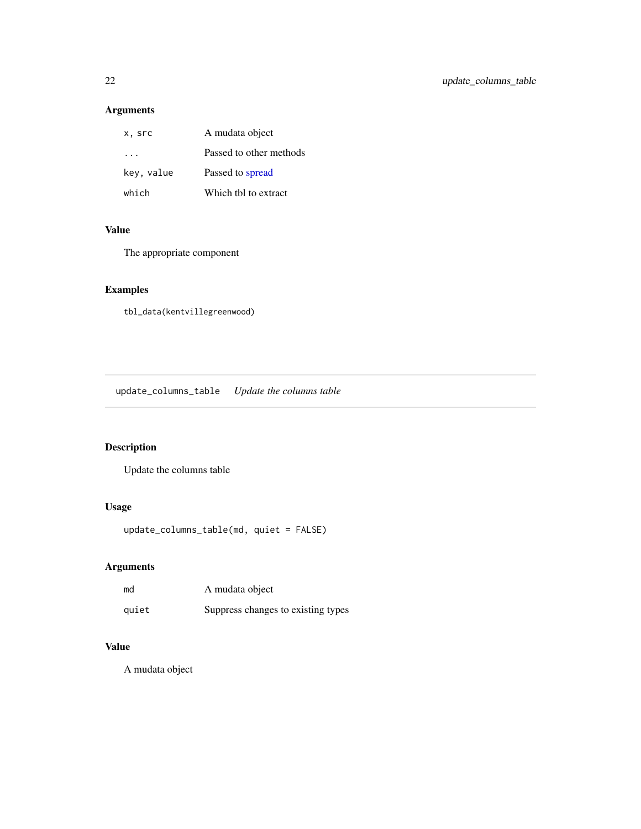### <span id="page-21-0"></span>Arguments

| x, src     | A mudata object         |
|------------|-------------------------|
|            | Passed to other methods |
| key, value | Passed to spread        |
| which      | Which the to extract    |

#### Value

The appropriate component

### Examples

tbl\_data(kentvillegreenwood)

update\_columns\_table *Update the columns table*

### Description

Update the columns table

### Usage

```
update_columns_table(md, quiet = FALSE)
```
#### Arguments

| md    | A mudata object                    |
|-------|------------------------------------|
| quiet | Suppress changes to existing types |

#### Value

A mudata object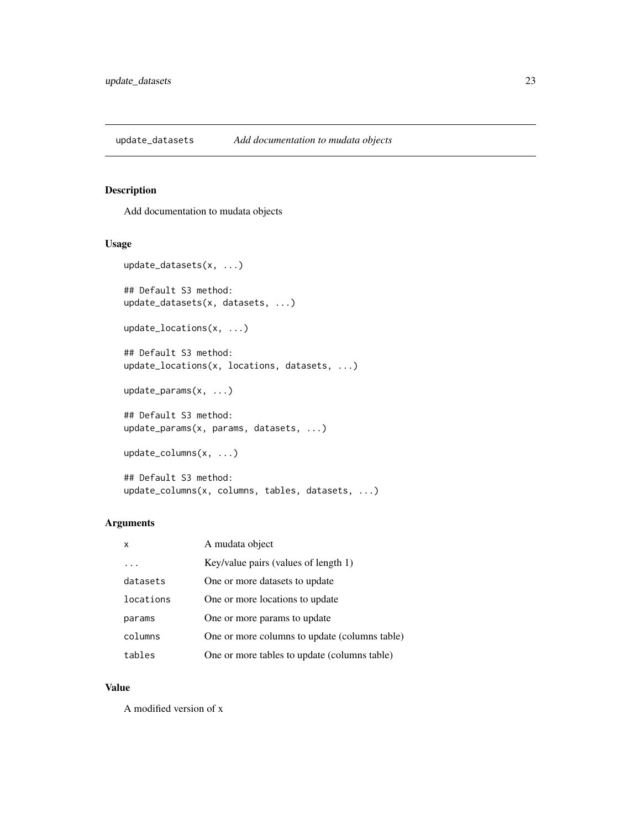<span id="page-22-0"></span>update\_datasets *Add documentation to mudata objects*

### Description

Add documentation to mudata objects

#### Usage

```
update_datasets(x, ...)
## Default S3 method:
update_datasets(x, datasets, ...)
update_locations(x, ...)
## Default S3 method:
update_locations(x, locations, datasets, ...)
update_params(x, ...)
## Default S3 method:
update_params(x, params, datasets, ...)
update_columns(x, ...)
## Default S3 method:
```
update\_columns(x, columns, tables, datasets, ...)

#### Arguments

| x         | A mudata object                               |
|-----------|-----------------------------------------------|
| .         | Key/value pairs (values of length 1)          |
| datasets  | One or more datasets to update                |
| locations | One or more locations to update               |
| params    | One or more params to update                  |
| columns   | One or more columns to update (columns table) |
| tables    | One or more tables to update (columns table)  |

#### Value

A modified version of x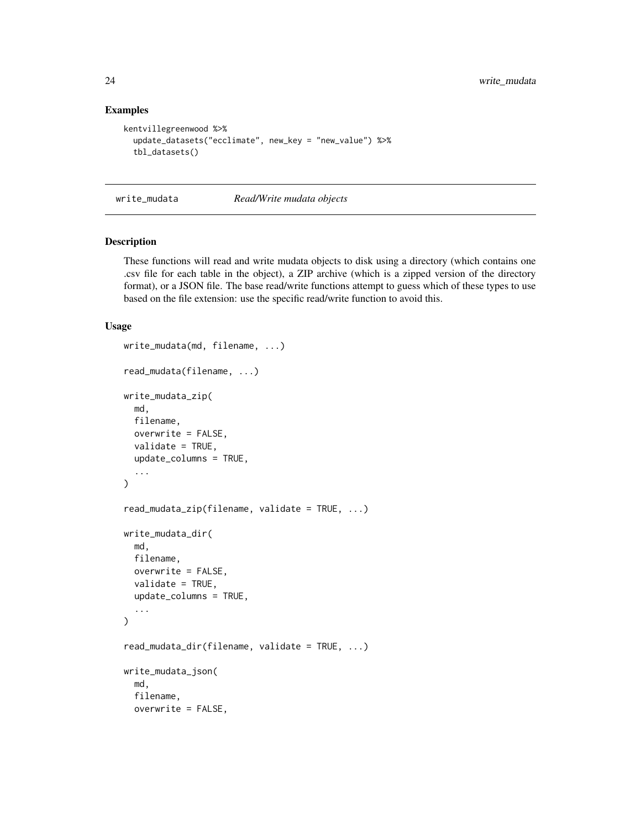#### Examples

```
kentvillegreenwood %>%
 update_datasets("ecclimate", new_key = "new_value") %>%
 tbl_datasets()
```
<span id="page-23-2"></span>write\_mudata *Read/Write mudata objects*

#### <span id="page-23-1"></span>Description

These functions will read and write mudata objects to disk using a directory (which contains one .csv file for each table in the object), a ZIP archive (which is a zipped version of the directory format), or a JSON file. The base read/write functions attempt to guess which of these types to use based on the file extension: use the specific read/write function to avoid this.

#### Usage

```
write_mudata(md, filename, ...)
read_mudata(filename, ...)
write_mudata_zip(
 md,
 filename,
 overwrite = FALSE,
 validate = TRUE,
  update_columns = TRUE,
  ...
)
read_mudata_zip(filename, validate = TRUE, ...)
write_mudata_dir(
 md,
 filename,
 overwrite = FALSE,
 validate = TRUE,
 update_columns = TRUE,
  ...
)
read_mudata_dir(filename, validate = TRUE, ...)
write_mudata_json(
 md,
  filename,
 overwrite = FALSE,
```
<span id="page-23-0"></span>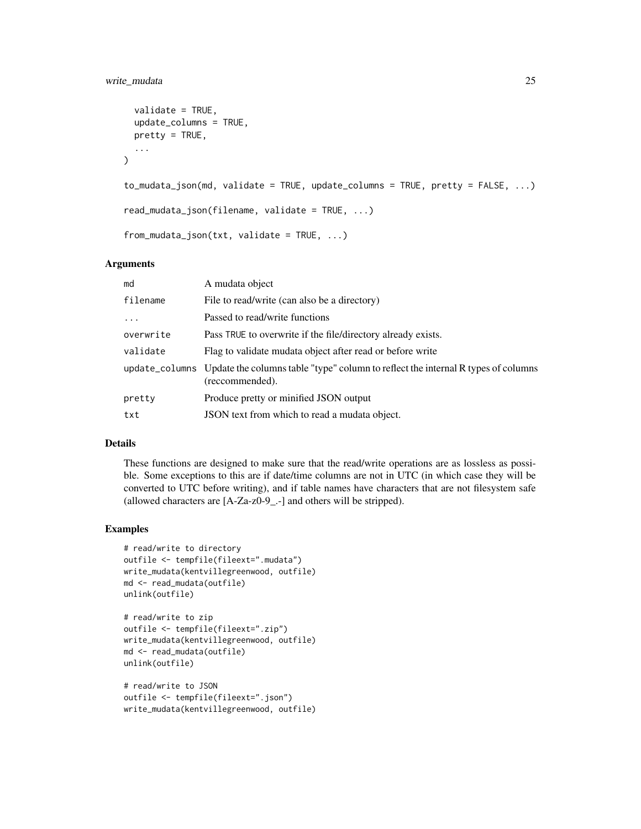#### write\_mudata 25

```
validate = TRUE,
  update_columns = TRUE,
 pretty = TRUE,
  ...
\lambdato_mudata_json(md, validate = TRUE, update_columns = TRUE, pretty = FALSE, ...)
read_mudata_json(filename, validate = TRUE, ...)
from_mudata_json(txt, validate = TRUE, ...)
```
#### Arguments

| md        | A mudata object                                                                                                     |
|-----------|---------------------------------------------------------------------------------------------------------------------|
| filename  | File to read/write (can also be a directory)                                                                        |
| $\ddots$  | Passed to read/write functions                                                                                      |
| overwrite | Pass TRUE to overwrite if the file/directory already exists.                                                        |
| validate  | Flag to validate mudata object after read or before write                                                           |
|           | update_columns Update the columns table "type" column to reflect the internal R types of columns<br>(reccommended). |
| pretty    | Produce pretty or minified JSON output                                                                              |
| txt       | JSON text from which to read a mudata object.                                                                       |

#### Details

These functions are designed to make sure that the read/write operations are as lossless as possible. Some exceptions to this are if date/time columns are not in UTC (in which case they will be converted to UTC before writing), and if table names have characters that are not filesystem safe (allowed characters are [A-Za-z0-9\_.-] and others will be stripped).

```
# read/write to directory
outfile <- tempfile(fileext=".mudata")
write_mudata(kentvillegreenwood, outfile)
md <- read_mudata(outfile)
unlink(outfile)
```

```
# read/write to zip
outfile <- tempfile(fileext=".zip")
write_mudata(kentvillegreenwood, outfile)
md <- read_mudata(outfile)
unlink(outfile)
```

```
# read/write to JSON
outfile <- tempfile(fileext=".json")
write_mudata(kentvillegreenwood, outfile)
```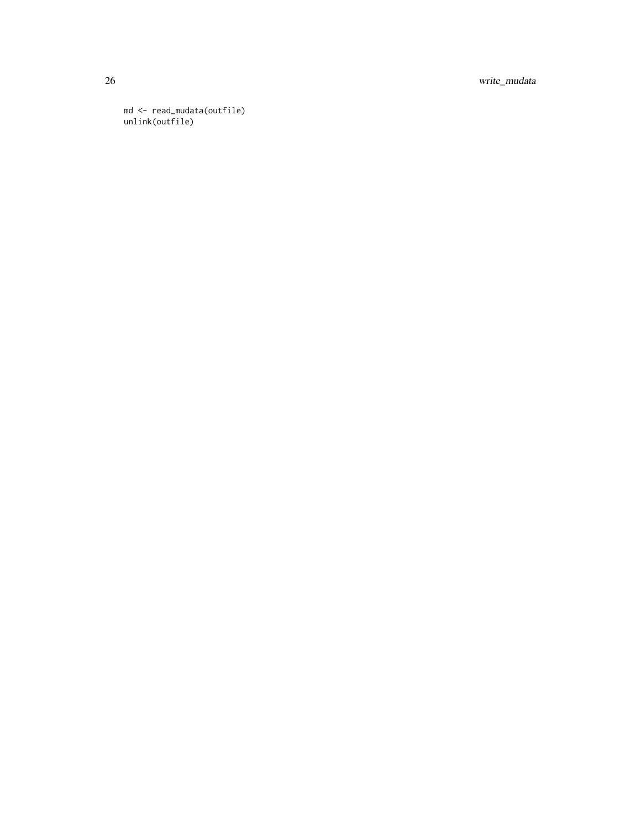26 write\_mudata

md <- read\_mudata(outfile) unlink(outfile)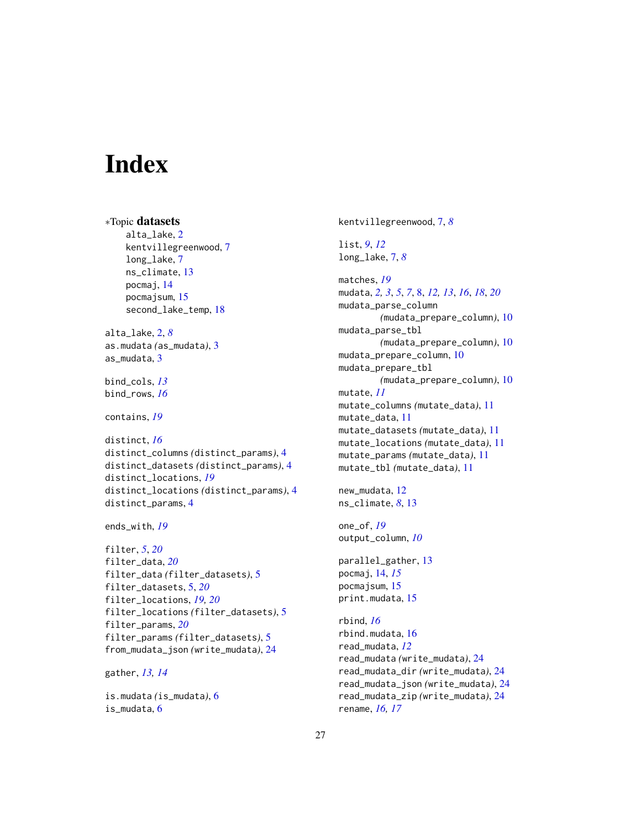# <span id="page-26-0"></span>**Index**

```
∗Topic datasets
    alta_lake, 2
    kentvillegreenwood, 7
    long_lake, 7
    ns_climate, 13
    pocmaj, 14
    pocmajsum, 15
    second_lake_temp, 18
alta_lake, 2, 8
as.mudata (as_mudata), 3
as_mudata, 3
bind_cols, 13
bind_rows, 16
contains, 19
distinct, 16
distinct_columns (distinct_params), 4
distinct_datasets (distinct_params), 4
distinct_locations, 19
distinct_locations (distinct_params), 4
distinct_params, 4
ends_with, 19
filter, 5, 20
filter_data, 20
filter_data (filter_datasets), 5
filter_datasets, 5, 20
filter_locations, 19, 20
filter_locations (filter_datasets), 5
filter_params, 20
filter_params (filter_datasets), 5
from_mudata_json (write_mudata), 24
```
gather, *[13,](#page-12-0) [14](#page-13-0)*

is.mudata *(*is\_mudata*)*, [6](#page-5-0) is\_mudata, [6](#page-5-0)

kentvillegreenwood, [7,](#page-6-0) *[8](#page-7-0)*

```
list, 9, 12
long_lake, 7, 8
```
matches, *[19](#page-18-0)* mudata, *[2,](#page-1-0) [3](#page-2-0)*, *[5](#page-4-0)*, *[7](#page-6-0)*, [8,](#page-7-0) *[12,](#page-11-0) [13](#page-12-0)*, *[16](#page-15-0)*, *[18](#page-17-0)*, *[20](#page-19-0)* mudata\_parse\_column *(*mudata\_prepare\_column*)*, [10](#page-9-0) mudata\_parse\_tbl *(*mudata\_prepare\_column*)*, [10](#page-9-0) mudata\_prepare\_column, [10](#page-9-0) mudata\_prepare\_tbl *(*mudata\_prepare\_column*)*, [10](#page-9-0) mutate, *[11](#page-10-0)* mutate\_columns *(*mutate\_data*)*, [11](#page-10-0) mutate\_data, [11](#page-10-0) mutate\_datasets *(*mutate\_data*)*, [11](#page-10-0) mutate\_locations *(*mutate\_data*)*, [11](#page-10-0) mutate\_params *(*mutate\_data*)*, [11](#page-10-0) mutate\_tbl *(*mutate\_data*)*, [11](#page-10-0)

new\_mudata, [12](#page-11-0) ns\_climate, *[8](#page-7-0)*, [13](#page-12-0)

```
one_of, 19
output_column, 10
```
parallel\_gather, [13](#page-12-0) pocmaj, [14,](#page-13-0) *[15](#page-14-0)* pocmajsum, [15](#page-14-0) print.mudata, [15](#page-14-0)

rbind, *[16](#page-15-0)* rbind.mudata, [16](#page-15-0) read\_mudata, *[12](#page-11-0)* read\_mudata *(*write\_mudata*)*, [24](#page-23-0) read\_mudata\_dir *(*write\_mudata*)*, [24](#page-23-0) read\_mudata\_json *(*write\_mudata*)*, [24](#page-23-0) read\_mudata\_zip *(*write\_mudata*)*, [24](#page-23-0) rename, *[16,](#page-15-0) [17](#page-16-0)*